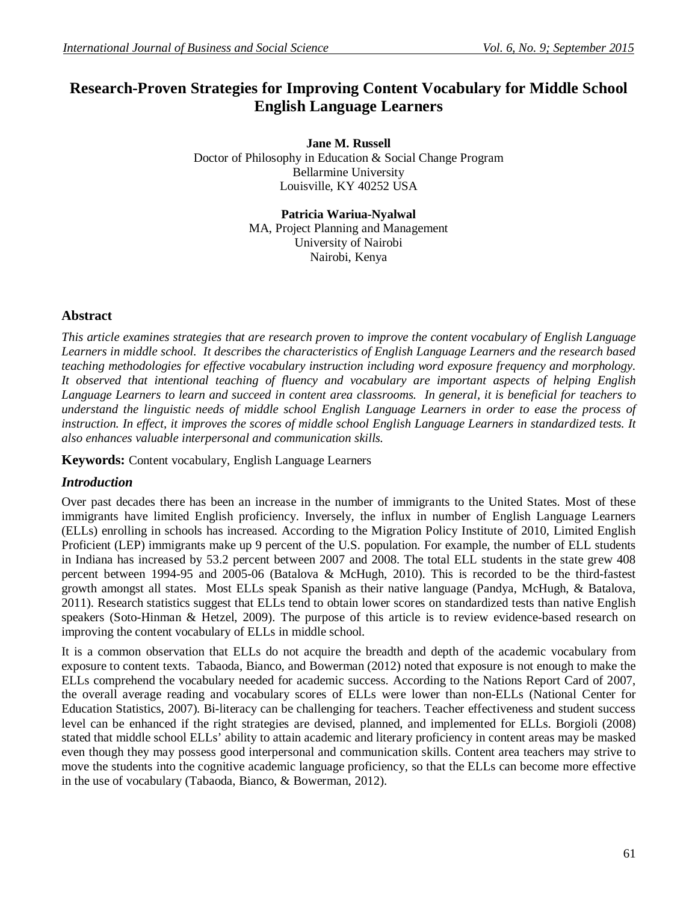# **Research-Proven Strategies for Improving Content Vocabulary for Middle School English Language Learners**

**Jane M. Russell** Doctor of Philosophy in Education & Social Change Program Bellarmine University Louisville, KY 40252 USA

> **Patricia Wariua-Nyalwal** MA, Project Planning and Management University of Nairobi Nairobi, Kenya

### **Abstract**

*This article examines strategies that are research proven to improve the content vocabulary of English Language Learners in middle school. It describes the characteristics of English Language Learners and the research based teaching methodologies for effective vocabulary instruction including word exposure frequency and morphology. It observed that intentional teaching of fluency and vocabulary are important aspects of helping English Language Learners to learn and succeed in content area classrooms. In general, it is beneficial for teachers to understand the linguistic needs of middle school English Language Learners in order to ease the process of*  instruction. In effect, it improves the scores of middle school English Language Learners in standardized tests. It *also enhances valuable interpersonal and communication skills.*

**Keywords:** Content vocabulary, English Language Learners

#### *Introduction*

Over past decades there has been an increase in the number of immigrants to the United States. Most of these immigrants have limited English proficiency. Inversely, the influx in number of English Language Learners (ELLs) enrolling in schools has increased. According to the Migration Policy Institute of 2010, Limited English Proficient (LEP) immigrants make up 9 percent of the U.S. population. For example, the number of ELL students in Indiana has increased by 53.2 percent between 2007 and 2008. The total ELL students in the state grew 408 percent between 1994-95 and 2005-06 (Batalova & McHugh, 2010). This is recorded to be the third-fastest growth amongst all states. Most ELLs speak Spanish as their native language (Pandya, McHugh, & Batalova, 2011). Research statistics suggest that ELLs tend to obtain lower scores on standardized tests than native English speakers (Soto-Hinman & Hetzel, 2009). The purpose of this article is to review evidence-based research on improving the content vocabulary of ELLs in middle school.

It is a common observation that ELLs do not acquire the breadth and depth of the academic vocabulary from exposure to content texts. Tabaoda, Bianco, and Bowerman (2012) noted that exposure is not enough to make the ELLs comprehend the vocabulary needed for academic success. According to the Nations Report Card of 2007, the overall average reading and vocabulary scores of ELLs were lower than non-ELLs (National Center for Education Statistics, 2007). Bi-literacy can be challenging for teachers. Teacher effectiveness and student success level can be enhanced if the right strategies are devised, planned, and implemented for ELLs. Borgioli (2008) stated that middle school ELLs' ability to attain academic and literary proficiency in content areas may be masked even though they may possess good interpersonal and communication skills. Content area teachers may strive to move the students into the cognitive academic language proficiency, so that the ELLs can become more effective in the use of vocabulary (Tabaoda, Bianco, & Bowerman, 2012).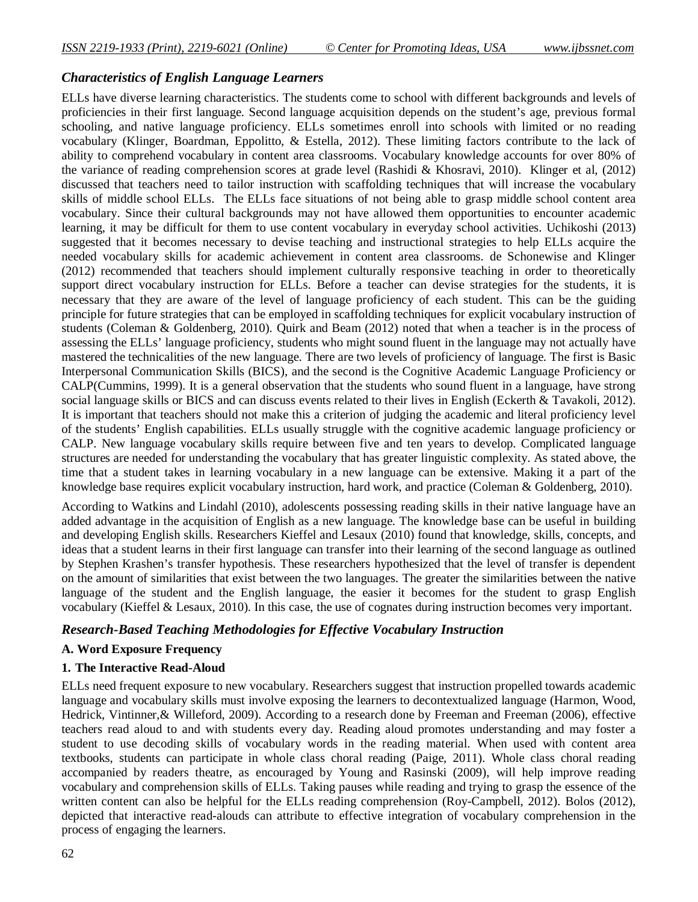### *Characteristics of English Language Learners*

ELLs have diverse learning characteristics. The students come to school with different backgrounds and levels of proficiencies in their first language. Second language acquisition depends on the student's age, previous formal schooling, and native language proficiency. ELLs sometimes enroll into schools with limited or no reading vocabulary (Klinger, Boardman, Eppolitto, & Estella, 2012). These limiting factors contribute to the lack of ability to comprehend vocabulary in content area classrooms. Vocabulary knowledge accounts for over 80% of the variance of reading comprehension scores at grade level (Rashidi & Khosravi, 2010). Klinger et al, (2012) discussed that teachers need to tailor instruction with scaffolding techniques that will increase the vocabulary skills of middle school ELLs. The ELLs face situations of not being able to grasp middle school content area vocabulary. Since their cultural backgrounds may not have allowed them opportunities to encounter academic learning, it may be difficult for them to use content vocabulary in everyday school activities. Uchikoshi (2013) suggested that it becomes necessary to devise teaching and instructional strategies to help ELLs acquire the needed vocabulary skills for academic achievement in content area classrooms. de Schonewise and Klinger (2012) recommended that teachers should implement culturally responsive teaching in order to theoretically support direct vocabulary instruction for ELLs. Before a teacher can devise strategies for the students, it is necessary that they are aware of the level of language proficiency of each student. This can be the guiding principle for future strategies that can be employed in scaffolding techniques for explicit vocabulary instruction of students (Coleman & Goldenberg, 2010). Quirk and Beam (2012) noted that when a teacher is in the process of assessing the ELLs' language proficiency, students who might sound fluent in the language may not actually have mastered the technicalities of the new language. There are two levels of proficiency of language. The first is Basic Interpersonal Communication Skills (BICS), and the second is the Cognitive Academic Language Proficiency or CALP(Cummins, 1999). It is a general observation that the students who sound fluent in a language, have strong social language skills or BICS and can discuss events related to their lives in English (Eckerth & Tavakoli, 2012). It is important that teachers should not make this a criterion of judging the academic and literal proficiency level of the students' English capabilities. ELLs usually struggle with the cognitive academic language proficiency or CALP. New language vocabulary skills require between five and ten years to develop. Complicated language structures are needed for understanding the vocabulary that has greater linguistic complexity. As stated above, the time that a student takes in learning vocabulary in a new language can be extensive. Making it a part of the knowledge base requires explicit vocabulary instruction, hard work, and practice (Coleman & Goldenberg, 2010).

According to Watkins and Lindahl (2010), adolescents possessing reading skills in their native language have an added advantage in the acquisition of English as a new language. The knowledge base can be useful in building and developing English skills. Researchers Kieffel and Lesaux (2010) found that knowledge, skills, concepts, and ideas that a student learns in their first language can transfer into their learning of the second language as outlined by Stephen Krashen's transfer hypothesis. These researchers hypothesized that the level of transfer is dependent on the amount of similarities that exist between the two languages. The greater the similarities between the native language of the student and the English language, the easier it becomes for the student to grasp English vocabulary (Kieffel & Lesaux, 2010). In this case, the use of cognates during instruction becomes very important.

#### *Research-Based Teaching Methodologies for Effective Vocabulary Instruction*

#### **A. Word Exposure Frequency**

#### **1. The Interactive Read-Aloud**

ELLs need frequent exposure to new vocabulary. Researchers suggest that instruction propelled towards academic language and vocabulary skills must involve exposing the learners to decontextualized language (Harmon, Wood, Hedrick, Vintinner,& Willeford, 2009). According to a research done by Freeman and Freeman (2006), effective teachers read aloud to and with students every day. Reading aloud promotes understanding and may foster a student to use decoding skills of vocabulary words in the reading material. When used with content area textbooks, students can participate in whole class choral reading (Paige, 2011). Whole class choral reading accompanied by readers theatre, as encouraged by Young and Rasinski (2009), will help improve reading vocabulary and comprehension skills of ELLs. Taking pauses while reading and trying to grasp the essence of the written content can also be helpful for the ELLs reading comprehension (Roy-Campbell, 2012). Bolos (2012), depicted that interactive read-alouds can attribute to effective integration of vocabulary comprehension in the process of engaging the learners.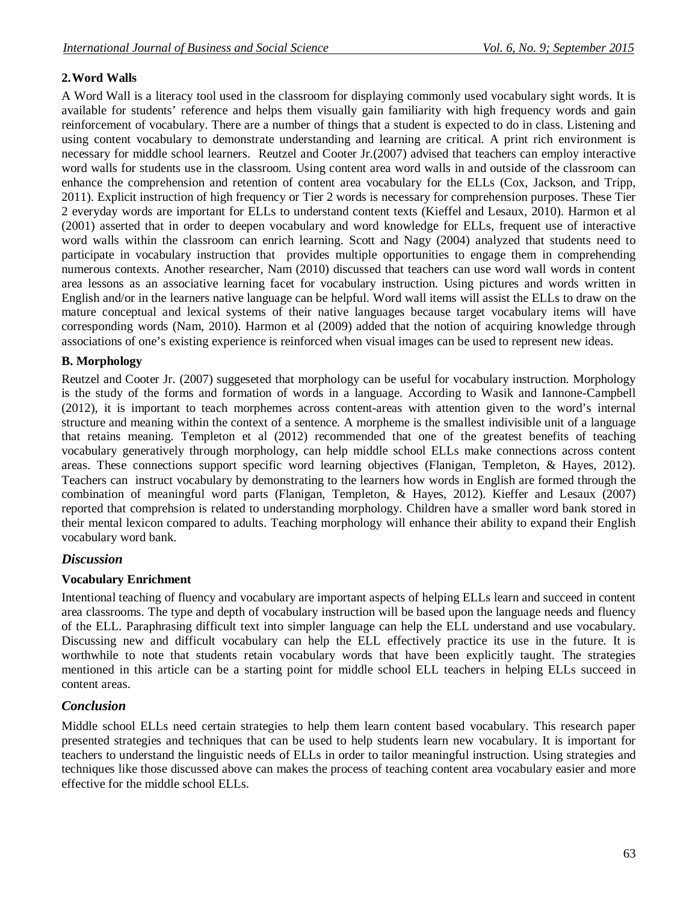# **2.Word Walls**

A Word Wall is a literacy tool used in the classroom for displaying commonly used vocabulary sight words. It is available for students' reference and helps them visually gain familiarity with high frequency words and gain reinforcement of vocabulary. There are a number of things that a student is expected to do in class. Listening and using content vocabulary to demonstrate understanding and learning are critical. A print rich environment is necessary for middle school learners. Reutzel and Cooter Jr.(2007) advised that teachers can employ interactive word walls for students use in the classroom. Using content area word walls in and outside of the classroom can enhance the comprehension and retention of content area vocabulary for the ELLs (Cox, Jackson, and Tripp, 2011). Explicit instruction of high frequency or Tier 2 words is necessary for comprehension purposes. These Tier 2 everyday words are important for ELLs to understand content texts (Kieffel and Lesaux, 2010). Harmon et al (2001) asserted that in order to deepen vocabulary and word knowledge for ELLs, frequent use of interactive word walls within the classroom can enrich learning. Scott and Nagy (2004) analyzed that students need to participate in vocabulary instruction that provides multiple opportunities to engage them in comprehending numerous contexts. Another researcher, Nam (2010) discussed that teachers can use word wall words in content area lessons as an associative learning facet for vocabulary instruction. Using pictures and words written in English and/or in the learners native language can be helpful. Word wall items will assist the ELLs to draw on the mature conceptual and lexical systems of their native languages because target vocabulary items will have corresponding words (Nam, 2010). Harmon et al (2009) added that the notion of acquiring knowledge through associations of one's existing experience is reinforced when visual images can be used to represent new ideas.

# **B. Morphology**

Reutzel and Cooter Jr. (2007) suggeseted that morphology can be useful for vocabulary instruction. Morphology is the study of the forms and formation of words in a language. According to Wasik and Iannone-Campbell (2012), it is important to teach morphemes across content-areas with attention given to the word's internal structure and meaning within the context of a sentence. A morpheme is the smallest indivisible unit of a language that retains meaning. Templeton et al (2012) recommended that one of the greatest benefits of teaching vocabulary generatively through morphology, can help middle school ELLs make connections across content areas. These connections support specific word learning objectives (Flanigan, Templeton, & Hayes, 2012). Teachers can instruct vocabulary by demonstrating to the learners how words in English are formed through the combination of meaningful word parts (Flanigan, Templeton, & Hayes, 2012). Kieffer and Lesaux (2007) reported that comprehsion is related to understanding morphology. Children have a smaller word bank stored in their mental lexicon compared to adults. Teaching morphology will enhance their ability to expand their English vocabulary word bank.

# *Discussion*

# **Vocabulary Enrichment**

Intentional teaching of fluency and vocabulary are important aspects of helping ELLs learn and succeed in content area classrooms. The type and depth of vocabulary instruction will be based upon the language needs and fluency of the ELL. Paraphrasing difficult text into simpler language can help the ELL understand and use vocabulary. Discussing new and difficult vocabulary can help the ELL effectively practice its use in the future. It is worthwhile to note that students retain vocabulary words that have been explicitly taught. The strategies mentioned in this article can be a starting point for middle school ELL teachers in helping ELLs succeed in content areas.

# *Conclusion*

Middle school ELLs need certain strategies to help them learn content based vocabulary. This research paper presented strategies and techniques that can be used to help students learn new vocabulary. It is important for teachers to understand the linguistic needs of ELLs in order to tailor meaningful instruction. Using strategies and techniques like those discussed above can makes the process of teaching content area vocabulary easier and more effective for the middle school ELLs.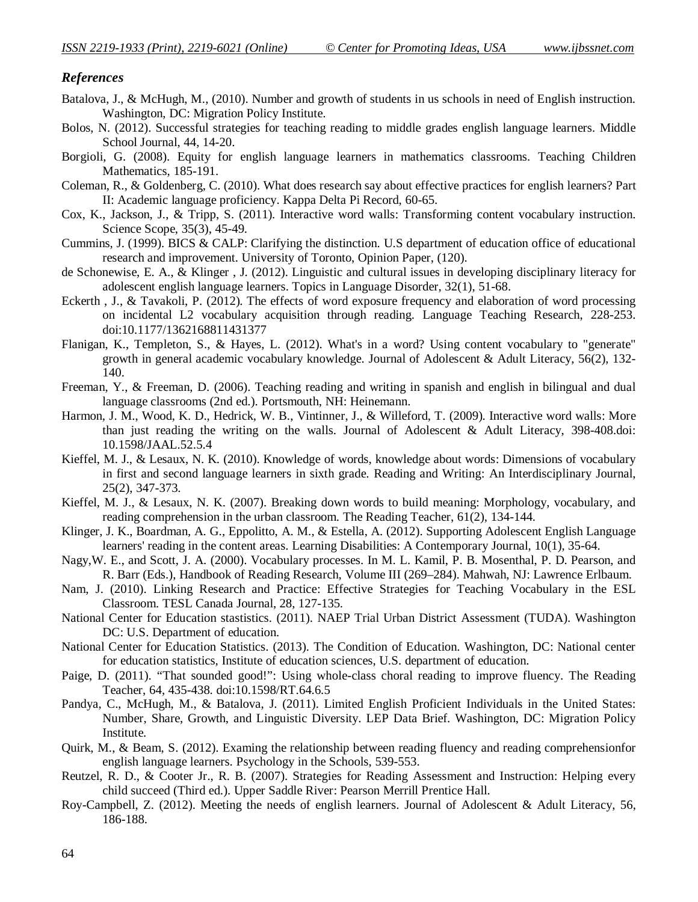#### *References*

- Batalova, J., & McHugh, M., (2010). Number and growth of students in us schools in need of English instruction. Washington, DC: Migration Policy Institute.
- Bolos, N. (2012). Successful strategies for teaching reading to middle grades english language learners. Middle School Journal, 44, 14-20.
- Borgioli, G. (2008). Equity for english language learners in mathematics classrooms. Teaching Children Mathematics, 185-191.
- Coleman, R., & Goldenberg, C. (2010). What does research say about effective practices for english learners? Part II: Academic language proficiency. Kappa Delta Pi Record, 60-65.
- Cox, K., Jackson, J., & Tripp, S. (2011). Interactive word walls: Transforming content vocabulary instruction. Science Scope, 35(3), 45-49.
- Cummins, J. (1999). BICS & CALP: Clarifying the distinction. U.S department of education office of educational research and improvement. University of Toronto, Opinion Paper, (120).
- de Schonewise, E. A., & Klinger , J. (2012). Linguistic and cultural issues in developing disciplinary literacy for adolescent english language learners. Topics in Language Disorder, 32(1), 51-68.
- Eckerth , J., & Tavakoli, P. (2012). The effects of word exposure frequency and elaboration of word processing on incidental L2 vocabulary acquisition through reading. Language Teaching Research, 228-253. doi:10.1177/1362168811431377
- Flanigan, K., Templeton, S., & Hayes, L. (2012). What's in a word? Using content vocabulary to "generate" growth in general academic vocabulary knowledge. Journal of Adolescent & Adult Literacy, 56(2), 132- 140.
- Freeman, Y., & Freeman, D. (2006). Teaching reading and writing in spanish and english in bilingual and dual language classrooms (2nd ed.). Portsmouth, NH: Heinemann.
- Harmon, J. M., Wood, K. D., Hedrick, W. B., Vintinner, J., & Willeford, T. (2009). Interactive word walls: More than just reading the writing on the walls. Journal of Adolescent & Adult Literacy, 398-408.doi: 10.1598/JAAL.52.5.4
- Kieffel, M. J., & Lesaux, N. K. (2010). Knowledge of words, knowledge about words: Dimensions of vocabulary in first and second language learners in sixth grade. Reading and Writing: An Interdisciplinary Journal, 25(2), 347-373.
- Kieffel, M. J., & Lesaux, N. K. (2007). Breaking down words to build meaning: Morphology, vocabulary, and reading comprehension in the urban classroom. The Reading Teacher, 61(2), 134-144.
- Klinger, J. K., Boardman, A. G., Eppolitto, A. M., & Estella, A. (2012). Supporting Adolescent English Language learners' reading in the content areas. Learning Disabilities: A Contemporary Journal, 10(1), 35-64.
- Nagy,W. E., and Scott, J. A. (2000). Vocabulary processes. In M. L. Kamil, P. B. Mosenthal, P. D. Pearson, and R. Barr (Eds.), Handbook of Reading Research, Volume III (269–284). Mahwah, NJ: Lawrence Erlbaum.
- Nam, J. (2010). Linking Research and Practice: Effective Strategies for Teaching Vocabulary in the ESL Classroom. TESL Canada Journal, 28, 127-135.
- National Center for Education stastistics. (2011). NAEP Trial Urban District Assessment (TUDA). Washington DC: U.S. Department of education.
- National Center for Education Statistics. (2013). The Condition of Education. Washington, DC: National center for education statistics, Institute of education sciences, U.S. department of education.
- Paige, D. (2011). "That sounded good!": Using whole-class choral reading to improve fluency. The Reading Teacher, 64, 435-438. doi:10.1598/RT.64.6.5
- Pandya, C., McHugh, M., & Batalova, J. (2011). Limited English Proficient Individuals in the United States: Number, Share, Growth, and Linguistic Diversity. LEP Data Brief. Washington, DC: Migration Policy Institute.
- Quirk, M., & Beam, S. (2012). Examing the relationship between reading fluency and reading comprehensionfor english language learners. Psychology in the Schools, 539-553.
- Reutzel, R. D., & Cooter Jr., R. B. (2007). Strategies for Reading Assessment and Instruction: Helping every child succeed (Third ed.). Upper Saddle River: Pearson Merrill Prentice Hall.
- Roy-Campbell, Z. (2012). Meeting the needs of english learners. Journal of Adolescent & Adult Literacy, 56, 186-188.